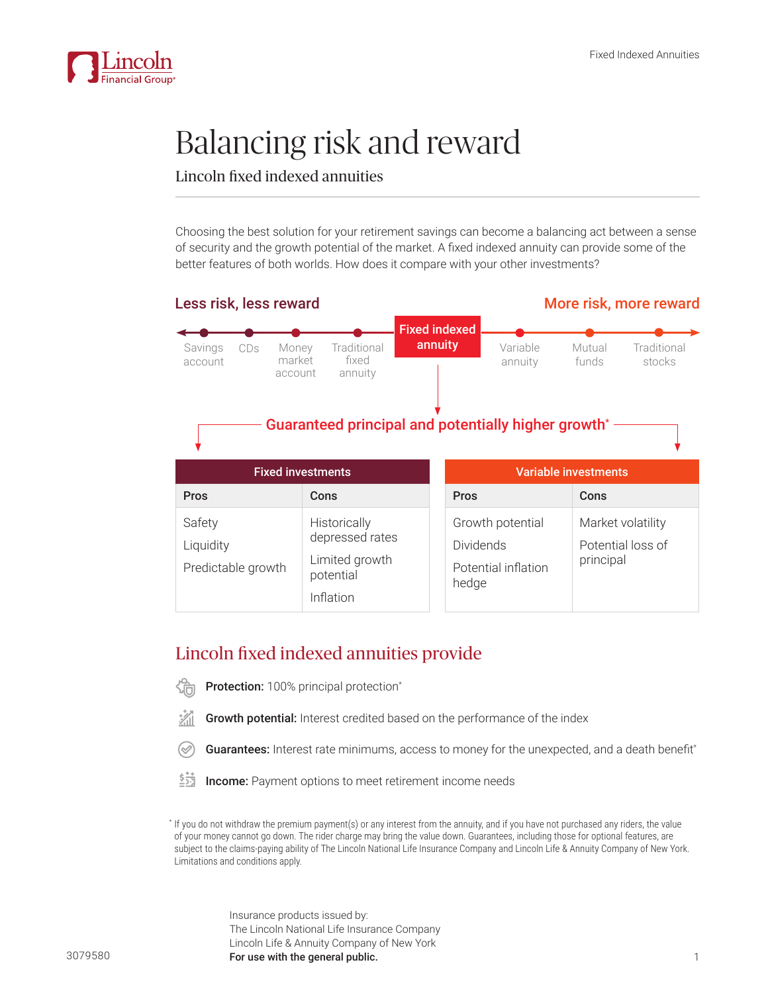

# Balancing risk and reward

## Lincoln fixed indexed annuities

Choosing the best solution for your retirement savings can become a balancing act between a sense of security and the growth potential of the market. A fixed indexed annuity can provide some of the better features of both worlds. How does it compare with your other investments?



## Lincoln fixed indexed annuities provide

- Protection: 100% principal protection\*
- Growth potential: Interest credited based on the performance of the index
- Guarantees: Interest rate minimums, access to money for the unexpected, and a death benefit\*
- あ **Income:** Payment options to meet retirement income needs

\* If you do not withdraw the premium payment(s) or any interest from the annuity, and if you have not purchased any riders, the value of your money cannot go down. The rider charge may bring the value down. Guarantees, including those for optional features, are subject to the claims-paying ability of The Lincoln National Life Insurance Company and Lincoln Life & Annuity Company of New York. Limitations and conditions apply.

> Insurance products issued by: The Lincoln National Life Insurance Company Lincoln Life & Annuity Company of New York For use with the general public. The state of the state of the state of the state of the state of the state of the state of the state of the state of the state of the state of the state of the state of the state of the sta